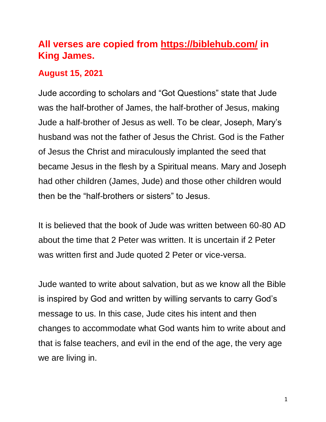# **All verses are copied from https://biblehub.com/ in King James.**

### **August 15, 2021**

Jude according to scholars and "Got Questions" state that Jude was the half-brother of James, the half-brother of Jesus, making Jude a half-brother of Jesus as well. To be clear, Joseph, Mary's husband was not the father of Jesus the Christ. God is the Father of Jesus the Christ and miraculously implanted the seed that became Jesus in the flesh by a Spiritual means. Mary and Joseph had other children (James, Jude) and those other children would then be the "half-brothers or sisters" to Jesus.

It is believed that the book of Jude was written between 60-80 AD about the time that 2 Peter was written. It is uncertain if 2 Peter was written first and Jude quoted 2 Peter or vice-versa.

Jude wanted to write about salvation, but as we know all the Bible is inspired by God and written by willing servants to carry God's message to us. In this case, Jude cites his intent and then changes to accommodate what God wants him to write about and that is false teachers, and evil in the end of the age, the very age we are living in.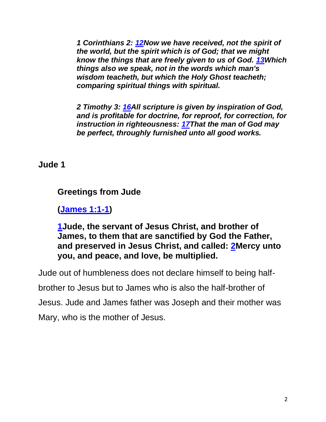*1 Corinthians 2: [12N](https://biblehub.com/1_corinthians/2-12.htm)ow we have received, not the spirit of the world, but the spirit which is of God; that we might know the things that are freely given to us of God. [13W](https://biblehub.com/1_corinthians/2-13.htm)hich things also we speak, not in the words which man's wisdom teacheth, but which the Holy Ghost teacheth; comparing spiritual things with spiritual.*

*2 Timothy 3: [16A](https://biblehub.com/2_timothy/3-16.htm)ll scripture is given by inspiration of God, and is profitable for doctrine, for reproof, for correction, for instruction in righteousness: [17T](https://biblehub.com/2_timothy/3-17.htm)hat the man of God may be perfect, throughly furnished unto all good works.*

**Jude 1**

# **Greetings from Jude**

**[\(James 1:1-1\)](https://biblehub.com/kjv/james/1.htm)**

**[1J](https://biblehub.com/jude/1-1.htm)ude, the servant of Jesus Christ, and brother of James, to them that are sanctified by God the Father, and preserved in Jesus Christ, and called: [2M](https://biblehub.com/jude/1-2.htm)ercy unto you, and peace, and love, be multiplied.**

Jude out of humbleness does not declare himself to being half-

brother to Jesus but to James who is also the half-brother of

Jesus. Jude and James father was Joseph and their mother was

Mary, who is the mother of Jesus.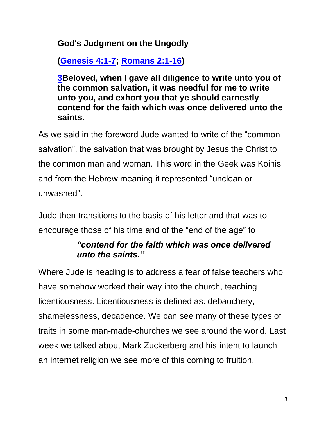### **God's Judgment on the Ungodly**

**[\(Genesis 4:1-7;](https://biblehub.com/kjv/genesis/4.htm) [Romans 2:1-16\)](https://biblehub.com/kjv/romans/2.htm)**

**[3B](https://biblehub.com/jude/1-3.htm)eloved, when I gave all diligence to write unto you of the common salvation, it was needful for me to write unto you, and exhort you that ye should earnestly contend for the faith which was once delivered unto the saints.**

As we said in the foreword Jude wanted to write of the "common salvation", the salvation that was brought by Jesus the Christ to the common man and woman. This word in the Geek was Koinis and from the Hebrew meaning it represented "unclean or unwashed".

Jude then transitions to the basis of his letter and that was to encourage those of his time and of the "end of the age" to

# *"contend for the faith which was once delivered unto the saints."*

Where Jude is heading is to address a fear of false teachers who have somehow worked their way into the church, teaching licentiousness. Licentiousness is defined as: debauchery, shamelessness, decadence. We can see many of these types of traits in some man-made-churches we see around the world. Last week we talked about Mark Zuckerberg and his intent to launch an internet religion we see more of this coming to fruition.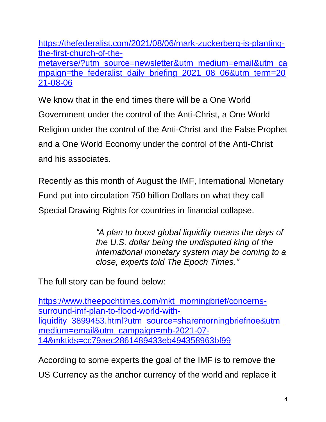[https://thefederalist.com/2021/08/06/mark-zuckerberg-is-planting](https://thefederalist.com/2021/08/06/mark-zuckerberg-is-planting-the-first-church-of-the-metaverse/?utm_source=newsletter&utm_medium=email&utm_campaign=the_federalist_daily_briefing_2021_08_06&utm_term=2021-08-06)[the-first-church-of-the](https://thefederalist.com/2021/08/06/mark-zuckerberg-is-planting-the-first-church-of-the-metaverse/?utm_source=newsletter&utm_medium=email&utm_campaign=the_federalist_daily_briefing_2021_08_06&utm_term=2021-08-06)[metaverse/?utm\\_source=newsletter&utm\\_medium=email&utm\\_ca](https://thefederalist.com/2021/08/06/mark-zuckerberg-is-planting-the-first-church-of-the-metaverse/?utm_source=newsletter&utm_medium=email&utm_campaign=the_federalist_daily_briefing_2021_08_06&utm_term=2021-08-06) [mpaign=the\\_federalist\\_daily\\_briefing\\_2021\\_08\\_06&utm\\_term=20](https://thefederalist.com/2021/08/06/mark-zuckerberg-is-planting-the-first-church-of-the-metaverse/?utm_source=newsletter&utm_medium=email&utm_campaign=the_federalist_daily_briefing_2021_08_06&utm_term=2021-08-06) [21-08-06](https://thefederalist.com/2021/08/06/mark-zuckerberg-is-planting-the-first-church-of-the-metaverse/?utm_source=newsletter&utm_medium=email&utm_campaign=the_federalist_daily_briefing_2021_08_06&utm_term=2021-08-06) 

We know that in the end times there will be a One World Government under the control of the Anti-Christ, a One World Religion under the control of the Anti-Christ and the False Prophet and a One World Economy under the control of the Anti-Christ and his associates.

Recently as this month of August the IMF, International Monetary Fund put into circulation 750 billion Dollars on what they call Special Drawing Rights for countries in financial collapse.

> *"A plan to boost global liquidity means the days of the U.S. dollar being the undisputed king of the international monetary system may be coming to a close, experts told The Epoch Times."*

The full story can be found below:

[https://www.theepochtimes.com/mkt\\_morningbrief/concerns](https://www.theepochtimes.com/mkt_morningbrief/concerns-surround-imf-plan-to-flood-world-with-liquidity_3899453.html?utm_source=sharemorningbriefnoe&utm_medium=email&utm_campaign=mb-2021-07-14&mktids=cc79aec2861489433eb494358963bf99)[surround-imf-plan-to-flood-world-with](https://www.theepochtimes.com/mkt_morningbrief/concerns-surround-imf-plan-to-flood-world-with-liquidity_3899453.html?utm_source=sharemorningbriefnoe&utm_medium=email&utm_campaign=mb-2021-07-14&mktids=cc79aec2861489433eb494358963bf99)[liquidity\\_3899453.html?utm\\_source=sharemorningbriefnoe&utm\\_](https://www.theepochtimes.com/mkt_morningbrief/concerns-surround-imf-plan-to-flood-world-with-liquidity_3899453.html?utm_source=sharemorningbriefnoe&utm_medium=email&utm_campaign=mb-2021-07-14&mktids=cc79aec2861489433eb494358963bf99) [medium=email&utm\\_campaign=mb-2021-07-](https://www.theepochtimes.com/mkt_morningbrief/concerns-surround-imf-plan-to-flood-world-with-liquidity_3899453.html?utm_source=sharemorningbriefnoe&utm_medium=email&utm_campaign=mb-2021-07-14&mktids=cc79aec2861489433eb494358963bf99) [14&mktids=cc79aec2861489433eb494358963bf99](https://www.theepochtimes.com/mkt_morningbrief/concerns-surround-imf-plan-to-flood-world-with-liquidity_3899453.html?utm_source=sharemorningbriefnoe&utm_medium=email&utm_campaign=mb-2021-07-14&mktids=cc79aec2861489433eb494358963bf99)

According to some experts the goal of the IMF is to remove the US Currency as the anchor currency of the world and replace it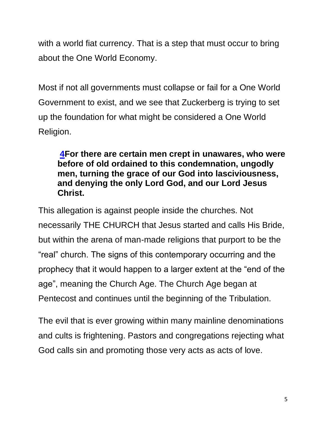with a world fiat currency. That is a step that must occur to bring about the One World Economy.

Most if not all governments must collapse or fail for a One World Government to exist, and we see that Zuckerberg is trying to set up the foundation for what might be considered a One World Religion.

#### **[4F](https://biblehub.com/jude/1-4.htm)or there are certain men crept in unawares, who were before of old ordained to this condemnation, ungodly men, turning the grace of our God into lasciviousness, and denying the only Lord God, and our Lord Jesus Christ.**

This allegation is against people inside the churches. Not necessarily THE CHURCH that Jesus started and calls His Bride, but within the arena of man-made religions that purport to be the "real" church. The signs of this contemporary occurring and the prophecy that it would happen to a larger extent at the "end of the age", meaning the Church Age. The Church Age began at Pentecost and continues until the beginning of the Tribulation.

The evil that is ever growing within many mainline denominations and cults is frightening. Pastors and congregations rejecting what God calls sin and promoting those very acts as acts of love.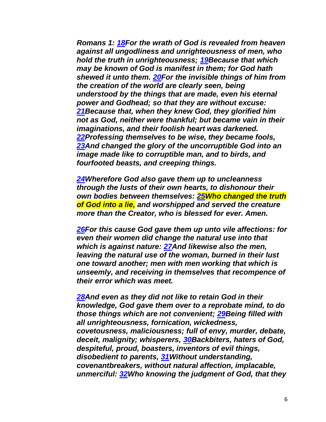*Romans 1: [18F](https://biblehub.com/romans/1-18.htm)or the wrath of God is revealed from heaven against all ungodliness and unrighteousness of men, who hold the truth in unrighteousness; [19B](https://biblehub.com/romans/1-19.htm)ecause that which may be known of God is manifest in them; for God hath shewed it unto them. [20F](https://biblehub.com/romans/1-20.htm)or the invisible things of him from the creation of the world are clearly seen, being understood by the things that are made, even his eternal power and Godhead; so that they are without excuse: [21B](https://biblehub.com/romans/1-21.htm)ecause that, when they knew God, they glorified him not as God, neither were thankful; but became vain in their imaginations, and their foolish heart was darkened. [22P](https://biblehub.com/romans/1-22.htm)rofessing themselves to be wise, they became fools, [23A](https://biblehub.com/romans/1-23.htm)nd changed the glory of the uncorruptible God into an image made like to corruptible man, and to birds, and fourfooted beasts, and creeping things.*

*[24W](https://biblehub.com/romans/1-24.htm)herefore God also gave them up to uncleanness through the lusts of their own hearts, to dishonour their own bodies between themselves: [25W](https://biblehub.com/romans/1-25.htm)ho changed the truth of God into a lie, and worshipped and served the creature more than the Creator, who is blessed for ever. Amen.*

*[26F](https://biblehub.com/romans/1-26.htm)or this cause God gave them up unto vile affections: for even their women did change the natural use into that which is against nature: [27A](https://biblehub.com/romans/1-27.htm)nd likewise also the men, leaving the natural use of the woman, burned in their lust one toward another; men with men working that which is unseemly, and receiving in themselves that recompence of their error which was meet.*

*[28A](https://biblehub.com/romans/1-28.htm)nd even as they did not like to retain God in their knowledge, God gave them over to a reprobate mind, to do those things which are not convenient; [29B](https://biblehub.com/romans/1-29.htm)eing filled with all unrighteousness, fornication, wickedness, covetousness, maliciousness; full of envy, murder, debate, deceit, malignity; whisperers, [30B](https://biblehub.com/romans/1-30.htm)ackbiters, haters of God, despiteful, proud, boasters, inventors of evil things, disobedient to parents, [31W](https://biblehub.com/romans/1-31.htm)ithout understanding, covenantbreakers, without natural affection, implacable, unmerciful: [32W](https://biblehub.com/romans/1-32.htm)ho knowing the judgment of God, that they*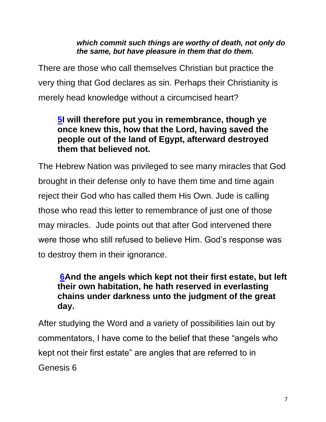#### *which commit such things are worthy of death, not only do the same, but have pleasure in them that do them.*

There are those who call themselves Christian but practice the very thing that God declares as sin. Perhaps their Christianity is merely head knowledge without a circumcised heart?

#### **[5I](https://biblehub.com/jude/1-5.htm) will therefore put you in remembrance, though ye once knew this, how that the Lord, having saved the people out of the land of Egypt, afterward destroyed them that believed not.**

The Hebrew Nation was privileged to see many miracles that God brought in their defense only to have them time and time again reject their God who has called them His Own. Jude is calling those who read this letter to remembrance of just one of those may miracles. Jude points out that after God intervened there were those who still refused to believe Him. God's response was to destroy them in their ignorance.

### **[6A](https://biblehub.com/jude/1-6.htm)nd the angels which kept not their first estate, but left their own habitation, he hath reserved in everlasting chains under darkness unto the judgment of the great day.**

After studying the Word and a variety of possibilities lain out by commentators, I have come to the belief that these "angels who kept not their first estate" are angles that are referred to in Genesis 6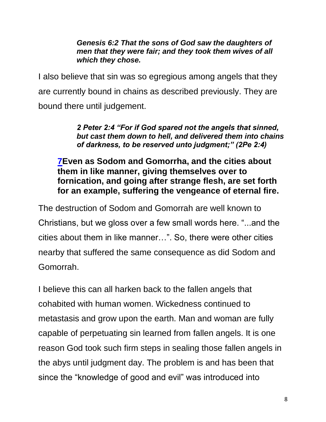#### *Genesis 6:2 That the sons of God saw the daughters of men that they were fair; and they took them wives of all which they chose.*

I also believe that sin was so egregious among angels that they are currently bound in chains as described previously. They are bound there until judgement.

> *2 Peter 2:4 "For if God spared not the angels that sinned, but cast them down to hell, and delivered them into chains of darkness, to be reserved unto judgment;" (2Pe 2:4)*

### **[7E](https://biblehub.com/jude/1-7.htm)ven as Sodom and Gomorrha, and the cities about them in like manner, giving themselves over to fornication, and going after strange flesh, are set forth for an example, suffering the vengeance of eternal fire.**

The destruction of Sodom and Gomorrah are well known to Christians, but we gloss over a few small words here. "...and the cities about them in like manner…". So, there were other cities nearby that suffered the same consequence as did Sodom and Gomorrah.

I believe this can all harken back to the fallen angels that cohabited with human women. Wickedness continued to metastasis and grow upon the earth. Man and woman are fully capable of perpetuating sin learned from fallen angels. It is one reason God took such firm steps in sealing those fallen angels in the abys until judgment day. The problem is and has been that since the "knowledge of good and evil" was introduced into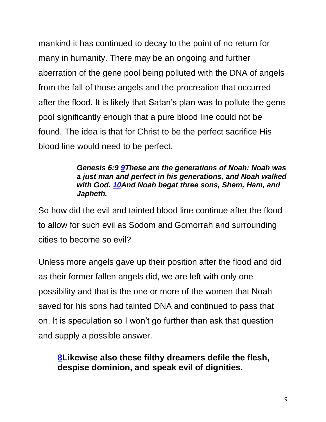mankind it has continued to decay to the point of no return for many in humanity. There may be an ongoing and further aberration of the gene pool being polluted with the DNA of angels from the fall of those angels and the procreation that occurred after the flood. It is likely that Satan's plan was to pollute the gene pool significantly enough that a pure blood line could not be found. The idea is that for Christ to be the perfect sacrifice His blood line would need to be perfect.

#### *Genesis 6:9 [9T](https://biblehub.com/genesis/6-9.htm)hese are the generations of Noah: Noah was a just man and perfect in his generations, and Noah walked with God. [10A](https://biblehub.com/genesis/6-10.htm)nd Noah begat three sons, Shem, Ham, and Japheth.*

So how did the evil and tainted blood line continue after the flood to allow for such evil as Sodom and Gomorrah and surrounding cities to become so evil?

Unless more angels gave up their position after the flood and did as their former fallen angels did, we are left with only one possibility and that is the one or more of the women that Noah saved for his sons had tainted DNA and continued to pass that on. It is speculation so I won't go further than ask that question and supply a possible answer.

### **[8L](https://biblehub.com/jude/1-8.htm)ikewise also these filthy dreamers defile the flesh, despise dominion, and speak evil of dignities.**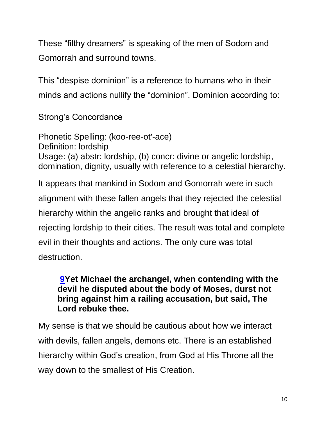These "filthy dreamers" is speaking of the men of Sodom and Gomorrah and surround towns.

This "despise dominion" is a reference to humans who in their minds and actions nullify the "dominion". Dominion according to:

Strong's Concordance

Phonetic Spelling: (koo-ree-ot'-ace) Definition: lordship Usage: (a) abstr: lordship, (b) concr: divine or angelic lordship, domination, dignity, usually with reference to a celestial hierarchy.

It appears that mankind in Sodom and Gomorrah were in such alignment with these fallen angels that they rejected the celestial hierarchy within the angelic ranks and brought that ideal of rejecting lordship to their cities. The result was total and complete evil in their thoughts and actions. The only cure was total destruction.

### **[9Y](https://biblehub.com/jude/1-9.htm)et Michael the archangel, when contending with the devil he disputed about the body of Moses, durst not bring against him a railing accusation, but said, The Lord rebuke thee.**

My sense is that we should be cautious about how we interact with devils, fallen angels, demons etc. There is an established hierarchy within God's creation, from God at His Throne all the way down to the smallest of His Creation.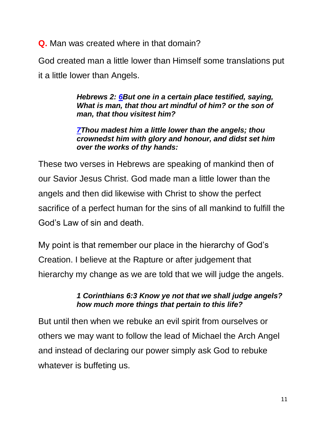**Q.** Man was created where in that domain?

God created man a little lower than Himself some translations put it a little lower than Angels.

> *Hebrews 2: [6B](https://biblehub.com/hebrews/2-6.htm)ut one in a certain place testified, saying, What is man, that thou art mindful of him? or the son of man, that thou visitest him?*

> *[7T](https://biblehub.com/hebrews/2-7.htm)hou madest him a little lower than the angels; thou crownedst him with glory and honour, and didst set him over the works of thy hands:*

These two verses in Hebrews are speaking of mankind then of our Savior Jesus Christ. God made man a little lower than the angels and then did likewise with Christ to show the perfect sacrifice of a perfect human for the sins of all mankind to fulfill the God's Law of sin and death.

My point is that remember our place in the hierarchy of God's Creation. I believe at the Rapture or after judgement that hierarchy my change as we are told that we will judge the angels.

#### *1 Corinthians 6:3 Know ye not that we shall judge angels? how much more things that pertain to this life?*

But until then when we rebuke an evil spirit from ourselves or others we may want to follow the lead of Michael the Arch Angel and instead of declaring our power simply ask God to rebuke whatever is buffeting us.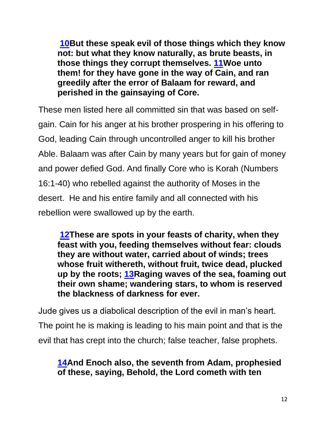**[10B](https://biblehub.com/jude/1-10.htm)ut these speak evil of those things which they know not: but what they know naturally, as brute beasts, in those things they corrupt themselves. [11W](https://biblehub.com/jude/1-11.htm)oe unto them! for they have gone in the way of Cain, and ran greedily after the error of Balaam for reward, and perished in the gainsaying of Core.**

These men listed here all committed sin that was based on selfgain. Cain for his anger at his brother prospering in his offering to God, leading Cain through uncontrolled anger to kill his brother Able. Balaam was after Cain by many years but for gain of money and power defied God. And finally Core who is Korah (Numbers 16:1-40) who rebelled against the authority of Moses in the desert. He and his entire family and all connected with his rebellion were swallowed up by the earth.

**[12T](https://biblehub.com/jude/1-12.htm)hese are spots in your feasts of charity, when they feast with you, feeding themselves without fear: clouds they are without water, carried about of winds; trees whose fruit withereth, without fruit, twice dead, plucked up by the roots; [13R](https://biblehub.com/jude/1-13.htm)aging waves of the sea, foaming out their own shame; wandering stars, to whom is reserved the blackness of darkness for ever.**

Jude gives us a diabolical description of the evil in man's heart. The point he is making is leading to his main point and that is the evil that has crept into the church; false teacher, false prophets.

# **[14A](https://biblehub.com/jude/1-14.htm)nd Enoch also, the seventh from Adam, prophesied of these, saying, Behold, the Lord cometh with ten**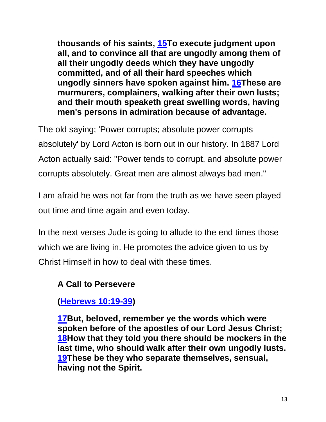**thousands of his saints, [15T](https://biblehub.com/jude/1-15.htm)o execute judgment upon all, and to convince all that are ungodly among them of all their ungodly deeds which they have ungodly committed, and of all their hard speeches which ungodly sinners have spoken against him. [16T](https://biblehub.com/jude/1-16.htm)hese are murmurers, complainers, walking after their own lusts; and their mouth speaketh great swelling words, having men's persons in admiration because of advantage.**

The old saying; 'Power corrupts; absolute power corrupts absolutely' by Lord Acton is born out in our history. In 1887 Lord Acton actually said: "Power tends to corrupt, and absolute power corrupts absolutely. Great men are almost always bad men."

I am afraid he was not far from the truth as we have seen played out time and time again and even today.

In the next verses Jude is going to allude to the end times those which we are living in. He promotes the advice given to us by Christ Himself in how to deal with these times.

# **A Call to Persevere**

**[\(Hebrews 10:19-39\)](https://biblehub.com/kjv/hebrews/10.htm#19)**

**[17B](https://biblehub.com/jude/1-17.htm)ut, beloved, remember ye the words which were spoken before of the apostles of our Lord Jesus Christ; [18H](https://biblehub.com/jude/1-18.htm)ow that they told you there should be mockers in the last time, who should walk after their own ungodly lusts. [19T](https://biblehub.com/jude/1-19.htm)hese be they who separate themselves, sensual, having not the Spirit.**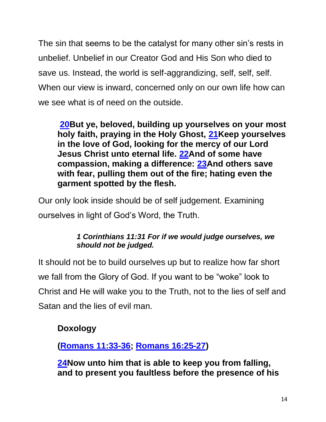The sin that seems to be the catalyst for many other sin's rests in unbelief. Unbelief in our Creator God and His Son who died to save us. Instead, the world is self-aggrandizing, self, self, self. When our view is inward, concerned only on our own life how can we see what is of need on the outside.

**[20B](https://biblehub.com/jude/1-20.htm)ut ye, beloved, building up yourselves on your most holy faith, praying in the Holy Ghost, [21K](https://biblehub.com/jude/1-21.htm)eep yourselves in the love of God, looking for the mercy of our Lord Jesus Christ unto eternal life. [22A](https://biblehub.com/jude/1-22.htm)nd of some have compassion, making a difference: [23A](https://biblehub.com/jude/1-23.htm)nd others save with fear, pulling them out of the fire; hating even the garment spotted by the flesh.**

Our only look inside should be of self judgement. Examining ourselves in light of God's Word, the Truth.

#### *1 Corinthians 11:31 For if we would judge ourselves, we should not be judged.*

It should not be to build ourselves up but to realize how far short we fall from the Glory of God. If you want to be "woke" look to Christ and He will wake you to the Truth, not to the lies of self and Satan and the lies of evil man.

### **Doxology**

**[\(Romans 11:33-36;](https://biblehub.com/kjv/romans/11.htm#33) [Romans 16:25-27\)](https://biblehub.com/kjv/romans/16.htm#25)**

**[24N](https://biblehub.com/jude/1-24.htm)ow unto him that is able to keep you from falling, and to present you faultless before the presence of his**